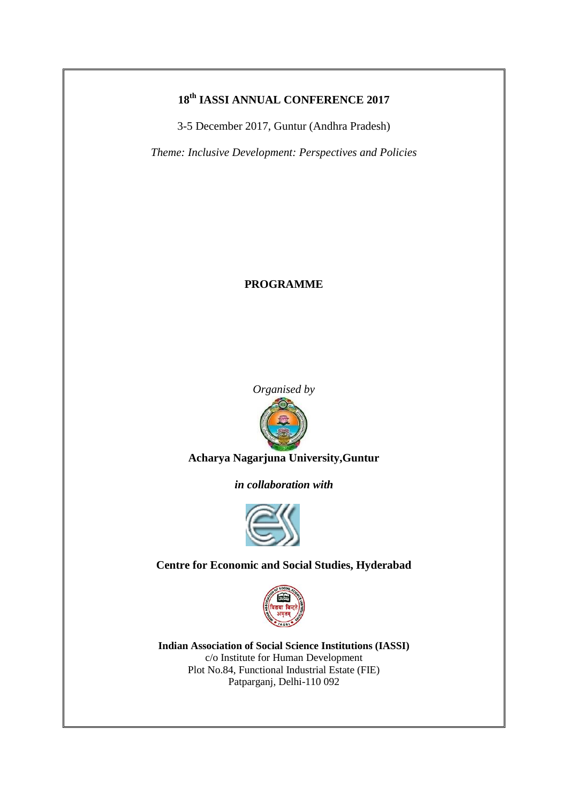## **18th IASSI ANNUAL CONFERENCE 2017**

3-5 December 2017, Guntur (Andhra Pradesh)

*Theme: Inclusive Development: Perspectives and Policies*

## **PROGRAMME**



**Acharya Nagarjuna University,Guntur**

*in collaboration with*



**Centre for Economic and Social Studies, Hyderabad**



**Indian Association of Social Science Institutions (IASSI)** c/o Institute for Human Development Plot No.84, Functional Industrial Estate (FIE) Patparganj, Delhi-110 092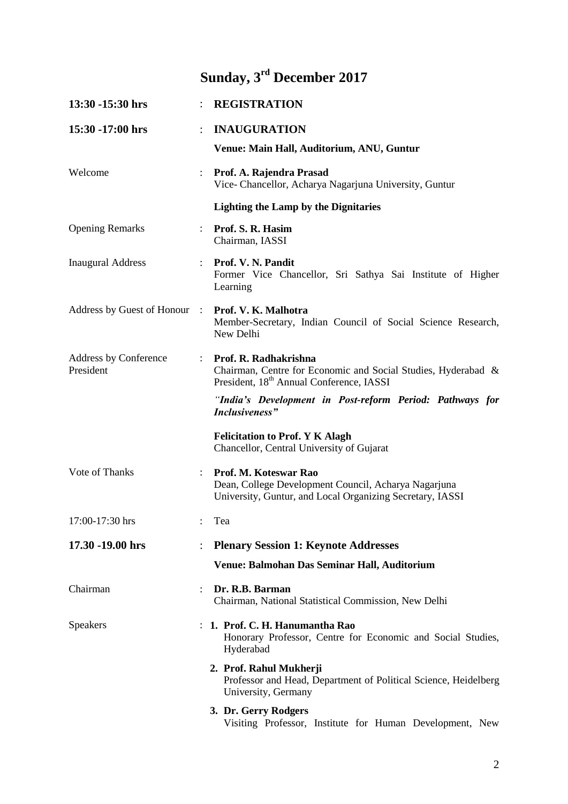## **Sunday, 3rd December 2017**

| 13:30 -15:30 hrs                          |                      | <b>REGISTRATION</b>                                                                                                                            |
|-------------------------------------------|----------------------|------------------------------------------------------------------------------------------------------------------------------------------------|
| 15:30 -17:00 hrs                          |                      | <b>INAUGURATION</b>                                                                                                                            |
|                                           |                      | Venue: Main Hall, Auditorium, ANU, Guntur                                                                                                      |
| Welcome                                   | $\ddot{\phantom{0}}$ | Prof. A. Rajendra Prasad<br>Vice- Chancellor, Acharya Nagarjuna University, Guntur                                                             |
|                                           |                      | <b>Lighting the Lamp by the Dignitaries</b>                                                                                                    |
| <b>Opening Remarks</b>                    |                      | Prof. S. R. Hasim<br>Chairman, IASSI                                                                                                           |
| <b>Inaugural Address</b>                  |                      | Prof. V. N. Pandit<br>Former Vice Chancellor, Sri Sathya Sai Institute of Higher<br>Learning                                                   |
| Address by Guest of Honour                | $\mathbb{R}^2$       | Prof. V. K. Malhotra<br>Member-Secretary, Indian Council of Social Science Research,<br>New Delhi                                              |
| <b>Address by Conference</b><br>President |                      | Prof. R. Radhakrishna<br>Chairman, Centre for Economic and Social Studies, Hyderabad &<br>President, 18 <sup>th</sup> Annual Conference, IASSI |
|                                           |                      | "India's Development in Post-reform Period: Pathways for<br>Inclusiveness"                                                                     |
|                                           |                      | <b>Felicitation to Prof. Y K Alagh</b><br>Chancellor, Central University of Gujarat                                                            |
| Vote of Thanks                            |                      | Prof. M. Koteswar Rao<br>Dean, College Development Council, Acharya Nagarjuna<br>University, Guntur, and Local Organizing Secretary, IASSI     |
| 17:00-17:30 hrs                           |                      | Tea                                                                                                                                            |
| 17.30 -19.00 hrs                          |                      | <b>Plenary Session 1: Keynote Addresses</b>                                                                                                    |
|                                           |                      | Venue: Balmohan Das Seminar Hall, Auditorium                                                                                                   |
| Chairman                                  |                      | Dr. R.B. Barman<br>Chairman, National Statistical Commission, New Delhi                                                                        |
| <b>Speakers</b>                           |                      | 1. Prof. C. H. Hanumantha Rao<br>Honorary Professor, Centre for Economic and Social Studies,<br>Hyderabad                                      |
|                                           |                      | 2. Prof. Rahul Mukherji<br>Professor and Head, Department of Political Science, Heidelberg<br>University, Germany                              |
|                                           |                      | 3. Dr. Gerry Rodgers<br>Visiting Professor, Institute for Human Development, New                                                               |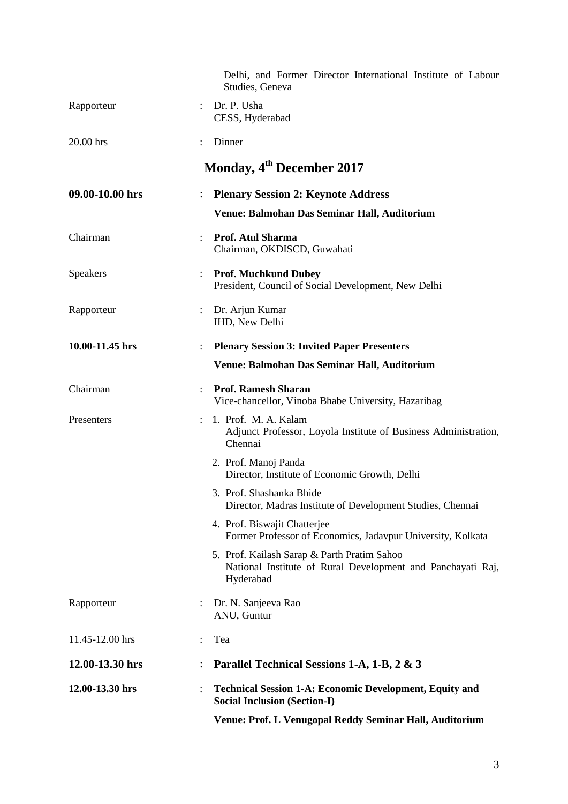|                 |                      | Delhi, and Former Director International Institute of Labour<br>Studies, Geneva                                         |
|-----------------|----------------------|-------------------------------------------------------------------------------------------------------------------------|
| Rapporteur      |                      | Dr. P. Usha<br>CESS, Hyderabad                                                                                          |
| 20.00 hrs       |                      | Dinner                                                                                                                  |
|                 |                      | Monday, 4 <sup>th</sup> December 2017                                                                                   |
| 09.00-10.00 hrs |                      | <b>Plenary Session 2: Keynote Address</b>                                                                               |
|                 |                      | Venue: Balmohan Das Seminar Hall, Auditorium                                                                            |
| Chairman        |                      | Prof. Atul Sharma<br>Chairman, OKDISCD, Guwahati                                                                        |
| <b>Speakers</b> | $\ddot{\cdot}$       | <b>Prof. Muchkund Dubey</b><br>President, Council of Social Development, New Delhi                                      |
| Rapporteur      | $\ddot{\phantom{0}}$ | Dr. Arjun Kumar<br>IHD, New Delhi                                                                                       |
| 10.00-11.45 hrs |                      | <b>Plenary Session 3: Invited Paper Presenters</b>                                                                      |
|                 |                      | Venue: Balmohan Das Seminar Hall, Auditorium                                                                            |
| Chairman        |                      | <b>Prof. Ramesh Sharan</b><br>Vice-chancellor, Vinoba Bhabe University, Hazaribag                                       |
| Presenters      |                      | 1. Prof. M. A. Kalam<br>Adjunct Professor, Loyola Institute of Business Administration,<br>Chennai                      |
|                 |                      | 2. Prof. Manoj Panda<br>Director, Institute of Economic Growth, Delhi                                                   |
|                 |                      | 3. Prof. Shashanka Bhide<br>Director, Madras Institute of Development Studies, Chennai                                  |
|                 |                      | 4. Prof. Biswajit Chatterjee<br>Former Professor of Economics, Jadavpur University, Kolkata                             |
|                 |                      | 5. Prof. Kailash Sarap & Parth Pratim Sahoo<br>National Institute of Rural Development and Panchayati Raj,<br>Hyderabad |
| Rapporteur      |                      | Dr. N. Sanjeeva Rao<br>ANU, Guntur                                                                                      |
| 11.45-12.00 hrs |                      | Tea                                                                                                                     |
| 12.00-13.30 hrs |                      | Parallel Technical Sessions 1-A, 1-B, 2 & 3                                                                             |
| 12.00-13.30 hrs |                      | <b>Technical Session 1-A: Economic Development, Equity and</b><br><b>Social Inclusion (Section-I)</b>                   |
|                 |                      | Venue: Prof. L Venugopal Reddy Seminar Hall, Auditorium                                                                 |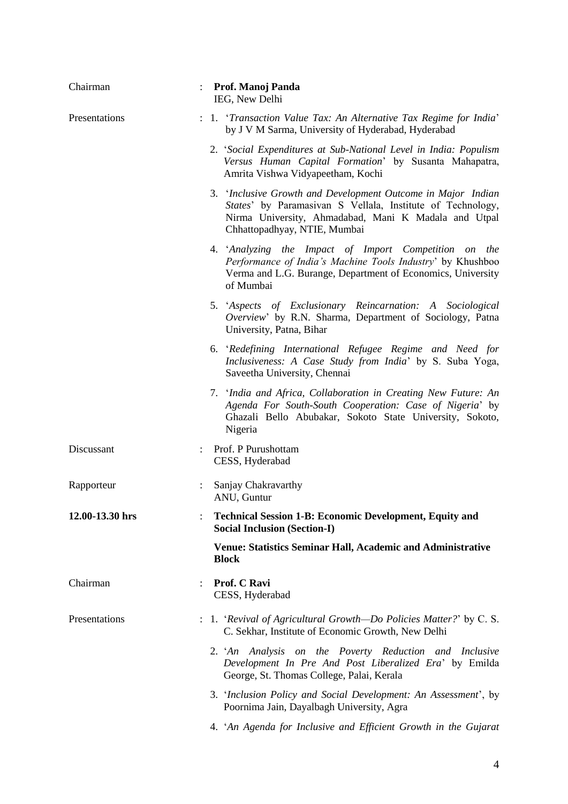| Chairman        | <b>Prof. Manoj Panda</b><br>IEG, New Delhi                                                                                                                                                                         |
|-----------------|--------------------------------------------------------------------------------------------------------------------------------------------------------------------------------------------------------------------|
| Presentations   | : 1. 'Transaction Value Tax: An Alternative Tax Regime for India'<br>by J V M Sarma, University of Hyderabad, Hyderabad                                                                                            |
|                 | 2. 'Social Expenditures at Sub-National Level in India: Populism<br>Versus Human Capital Formation' by Susanta Mahapatra,<br>Amrita Vishwa Vidyapeetham, Kochi                                                     |
|                 | 3. 'Inclusive Growth and Development Outcome in Major Indian<br>States' by Paramasivan S Vellala, Institute of Technology,<br>Nirma University, Ahmadabad, Mani K Madala and Utpal<br>Chhattopadhyay, NTIE, Mumbai |
|                 | 4. 'Analyzing the Impact of Import Competition on the<br>Performance of India's Machine Tools Industry' by Khushboo<br>Verma and L.G. Burange, Department of Economics, University<br>of Mumbai                    |
|                 | 5. 'Aspects of Exclusionary Reincarnation: A Sociological<br>Overview' by R.N. Sharma, Department of Sociology, Patna<br>University, Patna, Bihar                                                                  |
|                 | 6. 'Redefining International Refugee Regime and Need for<br>Inclusiveness: A Case Study from India' by S. Suba Yoga,<br>Saveetha University, Chennai                                                               |
|                 | 7. 'India and Africa, Collaboration in Creating New Future: An<br>Agenda For South-South Cooperation: Case of Nigeria' by<br>Ghazali Bello Abubakar, Sokoto State University, Sokoto,<br>Nigeria                   |
| Discussant      | : Prof. P Purushottam<br>CESS, Hyderabad                                                                                                                                                                           |
| Rapporteur      | Sanjay Chakravarthy<br>ANU, Guntur                                                                                                                                                                                 |
| 12.00-13.30 hrs | <b>Technical Session 1-B: Economic Development, Equity and</b><br><b>Social Inclusion (Section-I)</b>                                                                                                              |
|                 | Venue: Statistics Seminar Hall, Academic and Administrative<br><b>Block</b>                                                                                                                                        |
| Chairman        | Prof. C Ravi<br>CESS, Hyderabad                                                                                                                                                                                    |
| Presentations   | : 1. 'Revival of Agricultural Growth—Do Policies Matter?' by C. S.<br>C. Sekhar, Institute of Economic Growth, New Delhi                                                                                           |
|                 | 2. 'An Analysis on the Poverty Reduction and Inclusive<br>Development In Pre And Post Liberalized Era' by Emilda<br>George, St. Thomas College, Palai, Kerala                                                      |
|                 | 3. 'Inclusion Policy and Social Development: An Assessment', by<br>Poornima Jain, Dayalbagh University, Agra                                                                                                       |
|                 | 4. 'An Agenda for Inclusive and Efficient Growth in the Gujarat                                                                                                                                                    |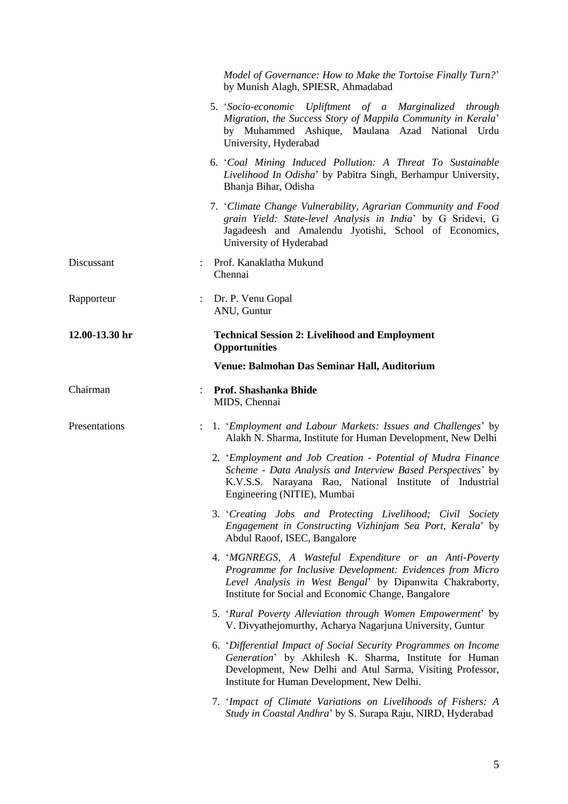|                |                      | Model of Governance: How to Make the Tortoise Finally Turn?'<br>by Munish Alagh, SPIESR, Ahmadabad                                                                                                                                     |
|----------------|----------------------|----------------------------------------------------------------------------------------------------------------------------------------------------------------------------------------------------------------------------------------|
|                |                      | 5. 'Socio-economic Upliftment of a Marginalized through<br>Migration, the Success Story of Mappila Community in Kerala'<br>by Muhammed Ashique, Maulana Azad National Urdu<br>University, Hyderabad                                    |
|                |                      | 6. 'Coal Mining Induced Pollution: A Threat To Sustainable<br>Livelihood In Odisha' by Pabitra Singh, Berhampur University,<br>Bhanja Bihar, Odisha                                                                                    |
|                |                      | 7. 'Climate Change Vulnerability, Agrarian Community and Food<br>grain Yield: State-level Analysis in India' by G Sridevi, G<br>Jagadeesh and Amalendu Jyotishi, School of Economics,<br>University of Hyderabad                       |
| Discussant     |                      | : Prof. Kanaklatha Mukund<br>Chennai                                                                                                                                                                                                   |
| Rapporteur     |                      | Dr. P. Venu Gopal<br>ANU, Guntur                                                                                                                                                                                                       |
| 12.00-13.30 hr |                      | <b>Technical Session 2: Livelihood and Employment</b><br><b>Opportunities</b>                                                                                                                                                          |
|                |                      | Venue: Balmohan Das Seminar Hall, Auditorium                                                                                                                                                                                           |
| Chairman       |                      | <b>Prof. Shashanka Bhide</b><br>MIDS, Chennai                                                                                                                                                                                          |
| Presentations  | $\ddot{\phantom{a}}$ | 1. 'Employment and Labour Markets: Issues and Challenges' by<br>Alakh N. Sharma, Institute for Human Development, New Delhi                                                                                                            |
|                |                      | 2. 'Employment and Job Creation - Potential of Mudra Finance<br>Scheme - Data Analysis and Interview Based Perspectives' by<br>K.V.S.S. Narayana Rao, National Institute of Industrial<br>Engineering (NITIE), Mumbai                  |
|                |                      | 3. 'Creating Jobs and Protecting Livelihood; Civil Society<br>Engagement in Constructing Vizhinjam Sea Port, Kerala' by<br>Abdul Raoof, ISEC, Bangalore                                                                                |
|                |                      | 4. 'MGNREGS, A Wasteful Expenditure or an Anti-Poverty<br>Programme for Inclusive Development: Evidences from Micro<br>Level Analysis in West Bengal' by Dipanwita Chakraborty,<br>Institute for Social and Economic Change, Bangalore |
|                |                      | 5. 'Rural Poverty Alleviation through Women Empowerment' by<br>V. Divyathejomurthy, Acharya Nagarjuna University, Guntur                                                                                                               |
|                |                      | 6. 'Differential Impact of Social Security Programmes on Income<br>Generation' by Akhilesh K. Sharma, Institute for Human<br>Development, New Delhi and Atul Sarma, Visiting Professor,<br>Institute for Human Development, New Delhi. |
|                |                      | 7. 'Impact of Climate Variations on Livelihoods of Fishers: A<br>Study in Coastal Andhra' by S. Surapa Raju, NIRD, Hyderabad                                                                                                           |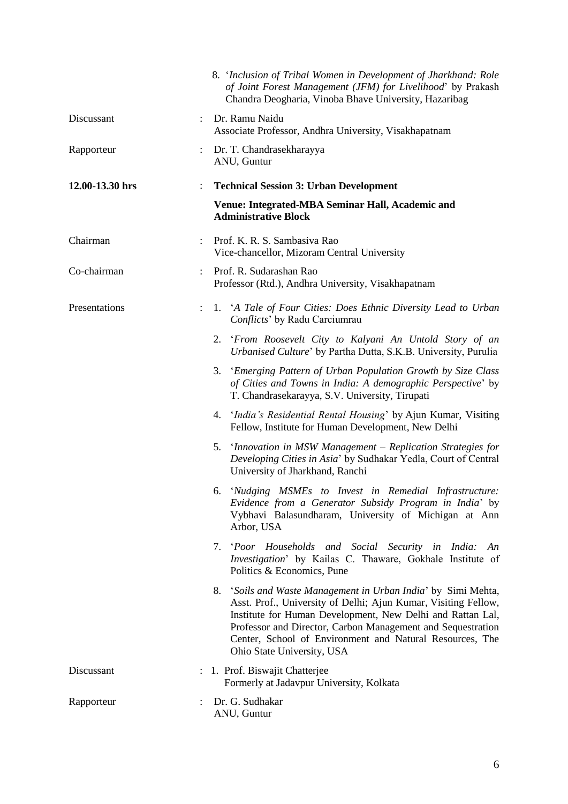|                 |                      | 8. 'Inclusion of Tribal Women in Development of Jharkhand: Role<br>of Joint Forest Management (JFM) for Livelihood' by Prakash<br>Chandra Deogharia, Vinoba Bhave University, Hazaribag                                                                                                                                                                |
|-----------------|----------------------|--------------------------------------------------------------------------------------------------------------------------------------------------------------------------------------------------------------------------------------------------------------------------------------------------------------------------------------------------------|
| Discussant      | $\ddot{\phantom{a}}$ | Dr. Ramu Naidu<br>Associate Professor, Andhra University, Visakhapatnam                                                                                                                                                                                                                                                                                |
| Rapporteur      |                      | Dr. T. Chandrasekharayya<br>ANU, Guntur                                                                                                                                                                                                                                                                                                                |
| 12.00-13.30 hrs |                      | <b>Technical Session 3: Urban Development</b>                                                                                                                                                                                                                                                                                                          |
|                 |                      | Venue: Integrated-MBA Seminar Hall, Academic and<br><b>Administrative Block</b>                                                                                                                                                                                                                                                                        |
| Chairman        |                      | Prof. K. R. S. Sambasiya Rao<br>Vice-chancellor, Mizoram Central University                                                                                                                                                                                                                                                                            |
| Co-chairman     | $\ddot{\phantom{0}}$ | Prof. R. Sudarashan Rao<br>Professor (Rtd.), Andhra University, Visakhapatnam                                                                                                                                                                                                                                                                          |
| Presentations   | $\ddot{\phantom{a}}$ | 1. 'A Tale of Four Cities: Does Ethnic Diversity Lead to Urban<br>Conflicts' by Radu Carciumrau                                                                                                                                                                                                                                                        |
|                 |                      | 'From Roosevelt City to Kalyani An Untold Story of an<br>2.<br>Urbanised Culture' by Partha Dutta, S.K.B. University, Purulia                                                                                                                                                                                                                          |
|                 |                      | 3. 'Emerging Pattern of Urban Population Growth by Size Class<br>of Cities and Towns in India: A demographic Perspective' by<br>T. Chandrasekarayya, S.V. University, Tirupati                                                                                                                                                                         |
|                 |                      | 4. 'India's Residential Rental Housing' by Ajun Kumar, Visiting<br>Fellow, Institute for Human Development, New Delhi                                                                                                                                                                                                                                  |
|                 |                      | 5. 'Innovation in MSW Management – Replication Strategies for<br>Developing Cities in Asia' by Sudhakar Yedla, Court of Central<br>University of Jharkhand, Ranchi                                                                                                                                                                                     |
|                 |                      | 6. 'Nudging MSMEs to Invest in Remedial Infrastructure:<br>Evidence from a Generator Subsidy Program in India' by<br>Vybhavi Balasundharam, University of Michigan at Ann<br>Arbor, USA                                                                                                                                                                |
|                 |                      | 7. <i>Poor Households and Social Security in India: An</i><br>Investigation' by Kailas C. Thaware, Gokhale Institute of<br>Politics & Economics, Pune                                                                                                                                                                                                  |
|                 |                      | 8. 'Soils and Waste Management in Urban India' by Simi Mehta,<br>Asst. Prof., University of Delhi; Ajun Kumar, Visiting Fellow,<br>Institute for Human Development, New Delhi and Rattan Lal,<br>Professor and Director, Carbon Management and Sequestration<br>Center, School of Environment and Natural Resources, The<br>Ohio State University, USA |
| Discussant      |                      | : 1. Prof. Biswajit Chatterjee<br>Formerly at Jadavpur University, Kolkata                                                                                                                                                                                                                                                                             |
| Rapporteur      |                      | Dr. G. Sudhakar<br>ANU, Guntur                                                                                                                                                                                                                                                                                                                         |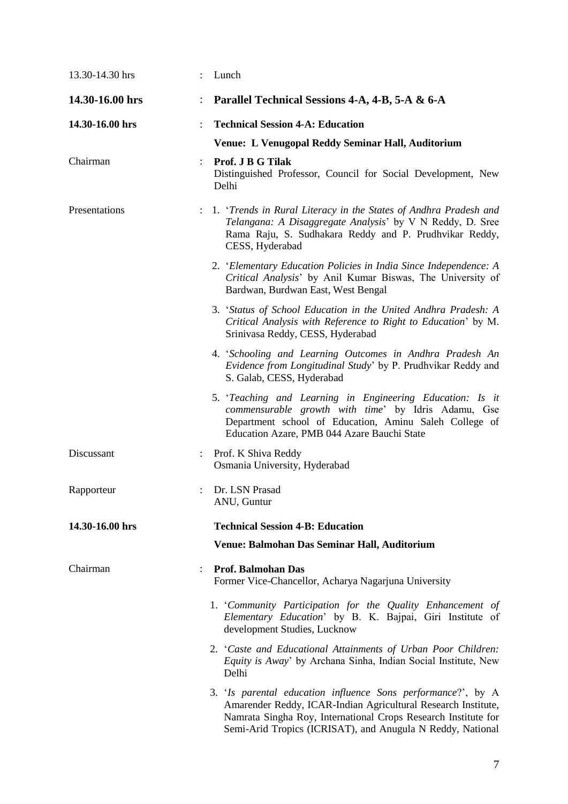| 13.30-14.30 hrs | Lunch                                                                                                                                                                                                                                                         |
|-----------------|---------------------------------------------------------------------------------------------------------------------------------------------------------------------------------------------------------------------------------------------------------------|
| 14.30-16.00 hrs | Parallel Technical Sessions 4-A, 4-B, 5-A & 6-A                                                                                                                                                                                                               |
| 14.30-16.00 hrs | <b>Technical Session 4-A: Education</b>                                                                                                                                                                                                                       |
|                 | Venue: L Venugopal Reddy Seminar Hall, Auditorium                                                                                                                                                                                                             |
| Chairman        | Prof. J B G Tilak<br>Distinguished Professor, Council for Social Development, New<br>Delhi                                                                                                                                                                    |
| Presentations   | : 1. 'Trends in Rural Literacy in the States of Andhra Pradesh and<br>Telangana: A Disaggregate Analysis' by V N Reddy, D. Sree<br>Rama Raju, S. Sudhakara Reddy and P. Prudhvikar Reddy,<br>CESS, Hyderabad                                                  |
|                 | 2. 'Elementary Education Policies in India Since Independence: A<br>Critical Analysis' by Anil Kumar Biswas, The University of<br>Bardwan, Burdwan East, West Bengal                                                                                          |
|                 | 3. 'Status of School Education in the United Andhra Pradesh: A<br>Critical Analysis with Reference to Right to Education' by M.<br>Srinivasa Reddy, CESS, Hyderabad                                                                                           |
|                 | 4. 'Schooling and Learning Outcomes in Andhra Pradesh An<br>Evidence from Longitudinal Study' by P. Prudhvikar Reddy and<br>S. Galab, CESS, Hyderabad                                                                                                         |
|                 | 5. 'Teaching and Learning in Engineering Education: Is it<br>commensurable growth with time' by Idris Adamu, Gse<br>Department school of Education, Aminu Saleh College of<br>Education Azare, PMB 044 Azare Bauchi State                                     |
| Discussant      | : Prof. K Shiva Reddy<br>Osmania University, Hyderabad                                                                                                                                                                                                        |
| Rapporteur      | Dr. LSN Prasad<br>ANU, Guntur                                                                                                                                                                                                                                 |
| 14.30-16.00 hrs | <b>Technical Session 4-B: Education</b>                                                                                                                                                                                                                       |
|                 | Venue: Balmohan Das Seminar Hall, Auditorium                                                                                                                                                                                                                  |
| Chairman        | <b>Prof. Balmohan Das</b><br>Former Vice-Chancellor, Acharya Nagarjuna University                                                                                                                                                                             |
|                 | 1. 'Community Participation for the Quality Enhancement of<br>Elementary Education' by B. K. Bajpai, Giri Institute of<br>development Studies, Lucknow                                                                                                        |
|                 | 2. 'Caste and Educational Attainments of Urban Poor Children:<br>Equity is Away' by Archana Sinha, Indian Social Institute, New<br>Delhi                                                                                                                      |
|                 | 3. 'Is parental education influence Sons performance?', by A<br>Amarender Reddy, ICAR-Indian Agricultural Research Institute,<br>Namrata Singha Roy, International Crops Research Institute for<br>Semi-Arid Tropics (ICRISAT), and Anugula N Reddy, National |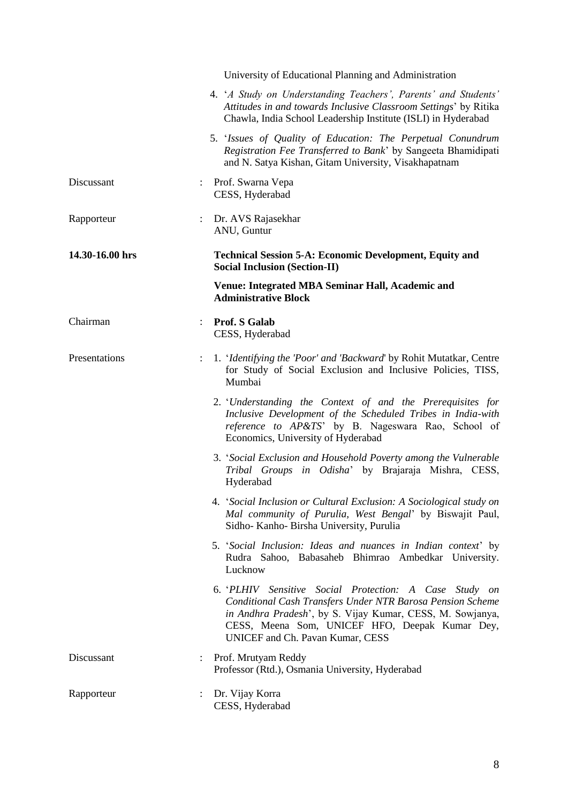|                 |                      | University of Educational Planning and Administration                                                                                                                                                                                                                   |
|-----------------|----------------------|-------------------------------------------------------------------------------------------------------------------------------------------------------------------------------------------------------------------------------------------------------------------------|
|                 |                      | 4. 'A Study on Understanding Teachers', Parents' and Students'<br>Attitudes in and towards Inclusive Classroom Settings' by Ritika<br>Chawla, India School Leadership Institute (ISLI) in Hyderabad                                                                     |
|                 |                      | 5. 'Issues of Quality of Education: The Perpetual Conundrum<br>Registration Fee Transferred to Bank' by Sangeeta Bhamidipati<br>and N. Satya Kishan, Gitam University, Visakhapatnam                                                                                    |
| Discussant      |                      | : Prof. Swarna Vepa<br>CESS, Hyderabad                                                                                                                                                                                                                                  |
| Rapporteur      |                      | Dr. AVS Rajasekhar<br>ANU, Guntur                                                                                                                                                                                                                                       |
| 14.30-16.00 hrs |                      | <b>Technical Session 5-A: Economic Development, Equity and</b><br><b>Social Inclusion (Section-II)</b>                                                                                                                                                                  |
|                 |                      | Venue: Integrated MBA Seminar Hall, Academic and<br><b>Administrative Block</b>                                                                                                                                                                                         |
| Chairman        |                      | <b>Prof. S Galab</b><br>CESS, Hyderabad                                                                                                                                                                                                                                 |
| Presentations   | $\ddot{\phantom{a}}$ | 1. 'Identifying the 'Poor' and 'Backward' by Rohit Mutatkar, Centre<br>for Study of Social Exclusion and Inclusive Policies, TISS,<br>Mumbai                                                                                                                            |
|                 |                      | 2. 'Understanding the Context of and the Prerequisites for<br>Inclusive Development of the Scheduled Tribes in India-with<br>reference to AP&TS' by B. Nageswara Rao, School of<br>Economics, University of Hyderabad                                                   |
|                 |                      | 3. 'Social Exclusion and Household Poverty among the Vulnerable<br>Tribal Groups in Odisha' by Brajaraja Mishra, CESS,<br>Hyderabad                                                                                                                                     |
|                 |                      | 4. 'Social Inclusion or Cultural Exclusion: A Sociological study on<br>Mal community of Purulia, West Bengal' by Biswajit Paul,<br>Sidho- Kanho- Birsha University, Purulia                                                                                             |
|                 |                      | 5. 'Social Inclusion: Ideas and nuances in Indian context' by<br>Rudra Sahoo, Babasaheb Bhimrao Ambedkar University.<br>Lucknow                                                                                                                                         |
|                 |                      | 6. 'PLHIV Sensitive Social Protection: A Case Study on<br>Conditional Cash Transfers Under NTR Barosa Pension Scheme<br>in Andhra Pradesh', by S. Vijay Kumar, CESS, M. Sowjanya,<br>CESS, Meena Som, UNICEF HFO, Deepak Kumar Dey,<br>UNICEF and Ch. Pavan Kumar, CESS |
| Discussant      |                      | : Prof. Mrutyam Reddy<br>Professor (Rtd.), Osmania University, Hyderabad                                                                                                                                                                                                |
| Rapporteur      |                      | Dr. Vijay Korra<br>CESS, Hyderabad                                                                                                                                                                                                                                      |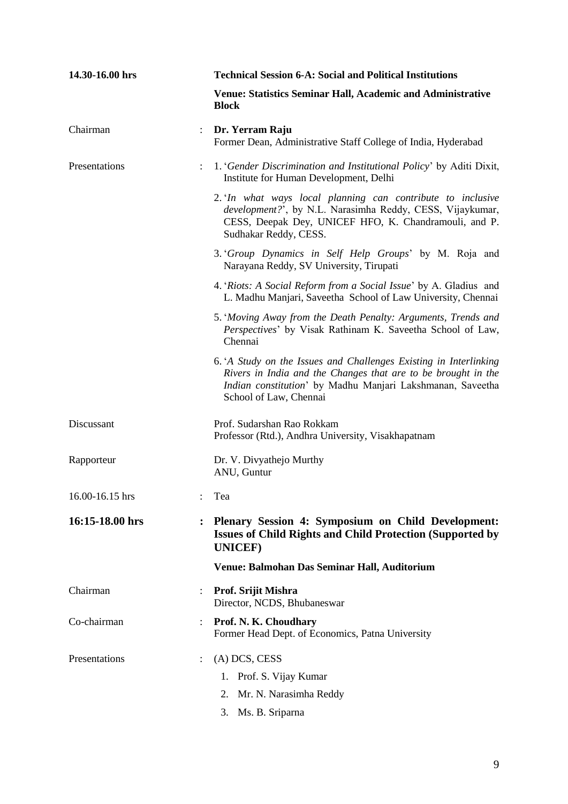| 14.30-16.00 hrs |                      | <b>Technical Session 6-A: Social and Political Institutions</b>                                                                                                                                                           |
|-----------------|----------------------|---------------------------------------------------------------------------------------------------------------------------------------------------------------------------------------------------------------------------|
|                 |                      | <b>Venue: Statistics Seminar Hall, Academic and Administrative</b><br><b>Block</b>                                                                                                                                        |
| Chairman        | $\ddot{\phantom{a}}$ | Dr. Yerram Raju<br>Former Dean, Administrative Staff College of India, Hyderabad                                                                                                                                          |
| Presentations   |                      | 1. 'Gender Discrimination and Institutional Policy' by Aditi Dixit,<br>Institute for Human Development, Delhi                                                                                                             |
|                 |                      | 2. In what ways local planning can contribute to inclusive<br>development?', by N.L. Narasimha Reddy, CESS, Vijaykumar,<br>CESS, Deepak Dey, UNICEF HFO, K. Chandramouli, and P.<br>Sudhakar Reddy, CESS.                 |
|                 |                      | 3. <i>Group Dynamics in Self Help Groups</i> ' by M. Roja and<br>Narayana Reddy, SV University, Tirupati                                                                                                                  |
|                 |                      | 4. 'Riots: A Social Reform from a Social Issue' by A. Gladius and<br>L. Madhu Manjari, Saveetha School of Law University, Chennai                                                                                         |
|                 |                      | 5. 'Moving Away from the Death Penalty: Arguments, Trends and<br>Perspectives' by Visak Rathinam K. Saveetha School of Law,<br>Chennai                                                                                    |
|                 |                      | 6. A Study on the Issues and Challenges Existing in Interlinking<br>Rivers in India and the Changes that are to be brought in the<br>Indian constitution' by Madhu Manjari Lakshmanan, Saveetha<br>School of Law, Chennai |
| Discussant      |                      | Prof. Sudarshan Rao Rokkam<br>Professor (Rtd.), Andhra University, Visakhapatnam                                                                                                                                          |
| Rapporteur      |                      | Dr. V. Divyathejo Murthy<br>ANU, Guntur                                                                                                                                                                                   |
| 16.00-16.15 hrs |                      | Tea                                                                                                                                                                                                                       |
| 16:15-18.00 hrs |                      | Plenary Session 4: Symposium on Child Development:<br>Issues of Child Rights and Child Protection (Supported by<br><b>UNICEF)</b>                                                                                         |
|                 |                      | Venue: Balmohan Das Seminar Hall, Auditorium                                                                                                                                                                              |
| Chairman        |                      | Prof. Srijit Mishra<br>Director, NCDS, Bhubaneswar                                                                                                                                                                        |
| Co-chairman     |                      | Prof. N. K. Choudhary<br>Former Head Dept. of Economics, Patna University                                                                                                                                                 |
| Presentations   |                      | (A) DCS, CESS                                                                                                                                                                                                             |
|                 |                      | 1. Prof. S. Vijay Kumar                                                                                                                                                                                                   |
|                 |                      | 2. Mr. N. Narasimha Reddy                                                                                                                                                                                                 |
|                 |                      | 3. Ms. B. Sriparna                                                                                                                                                                                                        |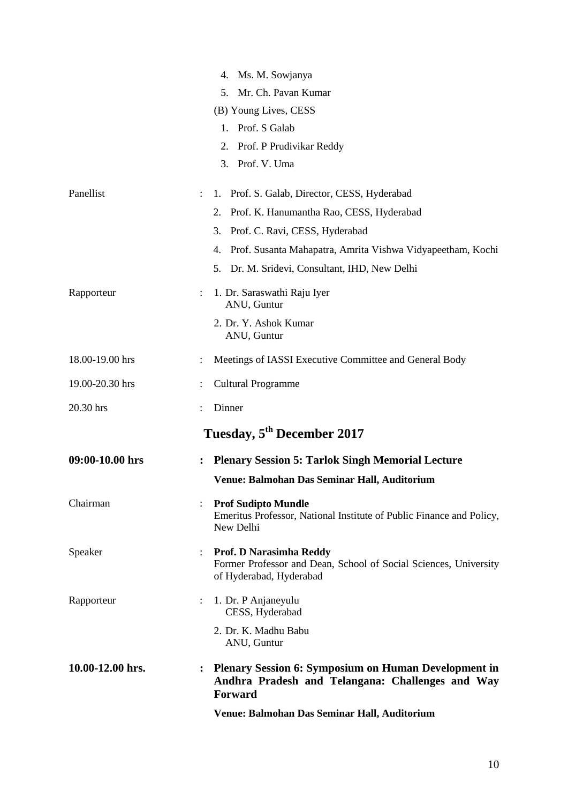|                  |                      | Venue: Balmohan Das Seminar Hall, Auditorium                                                                               |
|------------------|----------------------|----------------------------------------------------------------------------------------------------------------------------|
| 10.00-12.00 hrs. |                      | <b>Plenary Session 6: Symposium on Human Development in</b><br>Andhra Pradesh and Telangana: Challenges and Way<br>Forward |
|                  |                      | 2. Dr. K. Madhu Babu<br>ANU, Guntur                                                                                        |
| Rapporteur       |                      | 1. Dr. P Anjaneyulu<br>CESS, Hyderabad                                                                                     |
| Speaker          |                      | Prof. D Narasimha Reddy<br>Former Professor and Dean, School of Social Sciences, University<br>of Hyderabad, Hyderabad     |
| Chairman         |                      | <b>Prof Sudipto Mundle</b><br>Emeritus Professor, National Institute of Public Finance and Policy,<br>New Delhi            |
|                  |                      | Venue: Balmohan Das Seminar Hall, Auditorium                                                                               |
| 09:00-10.00 hrs  |                      | <b>Plenary Session 5: Tarlok Singh Memorial Lecture</b>                                                                    |
|                  |                      | Tuesday, 5 <sup>th</sup> December 2017                                                                                     |
| 20.30 hrs        |                      | Dinner                                                                                                                     |
| 19.00-20.30 hrs  |                      | <b>Cultural Programme</b>                                                                                                  |
| 18.00-19.00 hrs  |                      | Meetings of IASSI Executive Committee and General Body                                                                     |
|                  |                      | 2. Dr. Y. Ashok Kumar<br>ANU, Guntur                                                                                       |
| Rapporteur       |                      | 1. Dr. Saraswathi Raju Iyer<br>ANU, Guntur                                                                                 |
|                  |                      | Dr. M. Sridevi, Consultant, IHD, New Delhi<br>5.                                                                           |
|                  |                      | Prof. Susanta Mahapatra, Amrita Vishwa Vidyapeetham, Kochi<br>4.                                                           |
|                  |                      | Prof. C. Ravi, CESS, Hyderabad<br>3.                                                                                       |
| Panellist        | $\ddot{\phantom{a}}$ | 1. Prof. S. Galab, Director, CESS, Hyderabad<br>Prof. K. Hanumantha Rao, CESS, Hyderabad<br>2.                             |
|                  |                      | Prof. V. Uma<br>3.                                                                                                         |
|                  |                      | Prof. P Prudivikar Reddy<br>2.                                                                                             |
|                  |                      | Prof. S Galab<br>$1_{-}$                                                                                                   |
|                  |                      | (B) Young Lives, CESS                                                                                                      |
|                  |                      | Mr. Ch. Pavan Kumar<br>5.                                                                                                  |
|                  |                      | Ms. M. Sowjanya<br>4.                                                                                                      |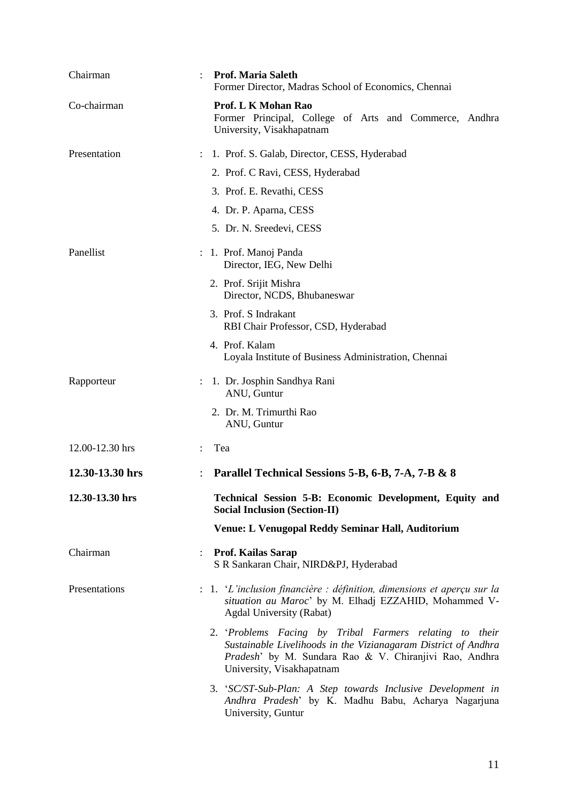| Chairman        |                      | <b>Prof. Maria Saleth</b><br>Former Director, Madras School of Economics, Chennai                                                                                                                                |
|-----------------|----------------------|------------------------------------------------------------------------------------------------------------------------------------------------------------------------------------------------------------------|
| Co-chairman     |                      | Prof. L K Mohan Rao<br>Former Principal, College of Arts and Commerce, Andhra<br>University, Visakhapatnam                                                                                                       |
| Presentation    | $\ddot{\phantom{0}}$ | 1. Prof. S. Galab, Director, CESS, Hyderabad                                                                                                                                                                     |
|                 |                      | 2. Prof. C Ravi, CESS, Hyderabad                                                                                                                                                                                 |
|                 |                      | 3. Prof. E. Revathi, CESS                                                                                                                                                                                        |
|                 |                      | 4. Dr. P. Aparna, CESS                                                                                                                                                                                           |
|                 |                      | 5. Dr. N. Sreedevi, CESS                                                                                                                                                                                         |
| Panellist       |                      | : 1. Prof. Manoj Panda<br>Director, IEG, New Delhi                                                                                                                                                               |
|                 |                      | 2. Prof. Srijit Mishra<br>Director, NCDS, Bhubaneswar                                                                                                                                                            |
|                 |                      | 3. Prof. S Indrakant<br>RBI Chair Professor, CSD, Hyderabad                                                                                                                                                      |
|                 |                      | 4. Prof. Kalam<br>Loyala Institute of Business Administration, Chennai                                                                                                                                           |
| Rapporteur      |                      | 1. Dr. Josphin Sandhya Rani<br>ANU, Guntur                                                                                                                                                                       |
|                 |                      | 2. Dr. M. Trimurthi Rao<br>ANU, Guntur                                                                                                                                                                           |
| 12.00-12.30 hrs | $\ddot{\phantom{0}}$ | Tea                                                                                                                                                                                                              |
| 12.30-13.30 hrs |                      | Parallel Technical Sessions 5-B, 6-B, 7-A, 7-B & 8                                                                                                                                                               |
| 12.30-13.30 hrs |                      | Technical Session 5-B: Economic Development, Equity and<br><b>Social Inclusion (Section-II)</b>                                                                                                                  |
|                 |                      | Venue: L Venugopal Reddy Seminar Hall, Auditorium                                                                                                                                                                |
| Chairman        |                      | <b>Prof. Kailas Sarap</b><br>S R Sankaran Chair, NIRD&PJ, Hyderabad                                                                                                                                              |
| Presentations   |                      | $\therefore$ 1. 'L'inclusion financière : définition, dimensions et aperçu sur la<br>situation au Maroc' by M. Elhadj EZZAHID, Mohammed V-<br>Agdal University (Rabat)                                           |
|                 |                      | 2. 'Problems Facing by Tribal Farmers relating to their<br>Sustainable Livelihoods in the Vizianagaram District of Andhra<br>Pradesh' by M. Sundara Rao & V. Chiranjivi Rao, Andhra<br>University, Visakhapatnam |
|                 |                      | 3. 'SC/ST-Sub-Plan: A Step towards Inclusive Development in<br>Andhra Pradesh' by K. Madhu Babu, Acharya Nagarjuna<br>University, Guntur                                                                         |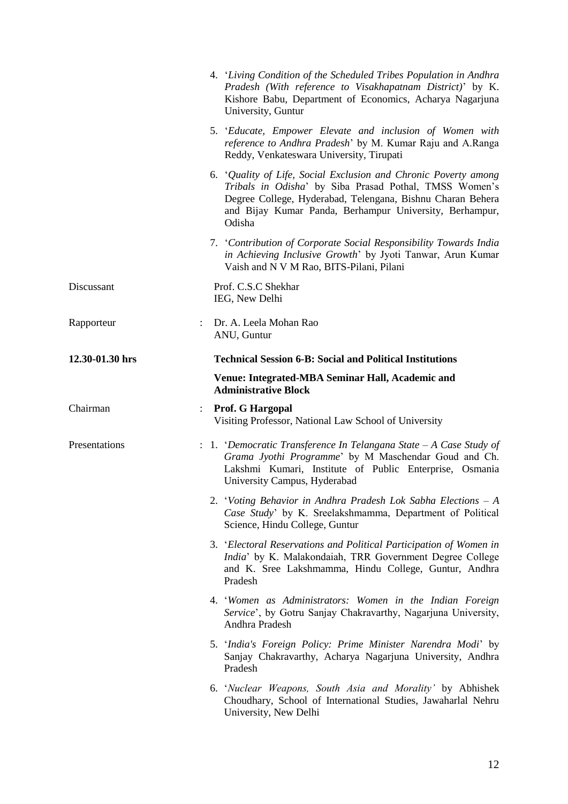|                 | 4. 'Living Condition of the Scheduled Tribes Population in Andhra<br>Pradesh (With reference to Visakhapatnam District)' by K.<br>Kishore Babu, Department of Economics, Acharya Nagarjuna<br>University, Guntur                                             |
|-----------------|--------------------------------------------------------------------------------------------------------------------------------------------------------------------------------------------------------------------------------------------------------------|
|                 | 5. 'Educate, Empower Elevate and inclusion of Women with<br>reference to Andhra Pradesh' by M. Kumar Raju and A.Ranga<br>Reddy, Venkateswara University, Tirupati                                                                                            |
|                 | 6. 'Quality of Life, Social Exclusion and Chronic Poverty among<br>Tribals in Odisha' by Siba Prasad Pothal, TMSS Women's<br>Degree College, Hyderabad, Telengana, Bishnu Charan Behera<br>and Bijay Kumar Panda, Berhampur University, Berhampur,<br>Odisha |
|                 | 7. 'Contribution of Corporate Social Responsibility Towards India<br>in Achieving Inclusive Growth' by Jyoti Tanwar, Arun Kumar<br>Vaish and N V M Rao, BITS-Pilani, Pilani                                                                                  |
| Discussant      | Prof. C.S.C Shekhar<br>IEG, New Delhi                                                                                                                                                                                                                        |
| Rapporteur      | : Dr. A. Leela Mohan Rao<br>ANU, Guntur                                                                                                                                                                                                                      |
| 12.30-01.30 hrs | <b>Technical Session 6-B: Social and Political Institutions</b>                                                                                                                                                                                              |
|                 | Venue: Integrated-MBA Seminar Hall, Academic and<br><b>Administrative Block</b>                                                                                                                                                                              |
| Chairman        | : Prof. G Hargopal<br>Visiting Professor, National Law School of University                                                                                                                                                                                  |
| Presentations   | : 1. 'Democratic Transference In Telangana State - A Case Study of<br>Grama Jyothi Programme' by M Maschendar Goud and Ch.<br>Lakshmi Kumari, Institute of Public Enterprise, Osmania<br>University Campus, Hyderabad                                        |
|                 | 2. 'Voting Behavior in Andhra Pradesh Lok Sabha Elections $-A$<br>Case Study' by K. Sreelakshmamma, Department of Political<br>Science, Hindu College, Guntur                                                                                                |
|                 | 3. 'Electoral Reservations and Political Participation of Women in<br>India' by K. Malakondaiah, TRR Government Degree College<br>and K. Sree Lakshmamma, Hindu College, Guntur, Andhra<br>Pradesh                                                           |
|                 | 4. 'Women as Administrators: Women in the Indian Foreign<br>Service', by Gotru Sanjay Chakravarthy, Nagarjuna University,<br>Andhra Pradesh                                                                                                                  |
|                 | 5. 'India's Foreign Policy: Prime Minister Narendra Modi' by<br>Sanjay Chakravarthy, Acharya Nagarjuna University, Andhra<br>Pradesh                                                                                                                         |
|                 | 6. 'Nuclear Weapons, South Asia and Morality' by Abhishek<br>Choudhary, School of International Studies, Jawaharlal Nehru<br>University, New Delhi                                                                                                           |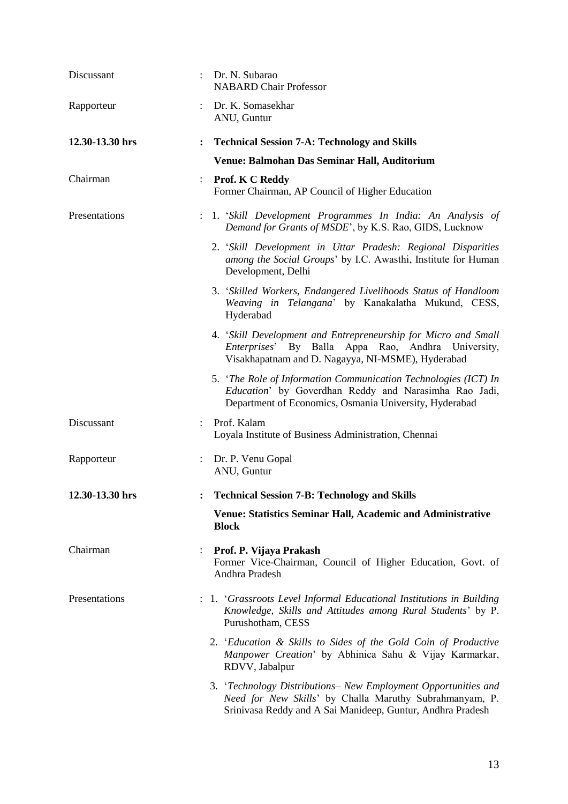| Discussant      | Dr. N. Subarao<br><b>NABARD Chair Professor</b>                                                                                                                                         |
|-----------------|-----------------------------------------------------------------------------------------------------------------------------------------------------------------------------------------|
| Rapporteur      | Dr. K. Somasekhar<br>ANU, Guntur                                                                                                                                                        |
| 12.30-13.30 hrs | <b>Technical Session 7-A: Technology and Skills</b><br>$\ddot{\cdot}$                                                                                                                   |
|                 | Venue: Balmohan Das Seminar Hall, Auditorium                                                                                                                                            |
| Chairman        | <b>Prof. K C Reddy</b><br>$\ddot{\phantom{a}}$<br>Former Chairman, AP Council of Higher Education                                                                                       |
| Presentations   | 1. 'Skill Development Programmes In India: An Analysis of<br>Demand for Grants of MSDE', by K.S. Rao, GIDS, Lucknow                                                                     |
|                 | 2. 'Skill Development in Uttar Pradesh: Regional Disparities<br>among the Social Groups' by I.C. Awasthi, Institute for Human<br>Development, Delhi                                     |
|                 | 3. 'Skilled Workers, Endangered Livelihoods Status of Handloom<br>Weaving in Telangana' by Kanakalatha Mukund, CESS,<br>Hyderabad                                                       |
|                 | 4. 'Skill Development and Entrepreneurship for Micro and Small<br>Enterprises' By Balla Appa Rao, Andhra University,<br>Visakhapatnam and D. Nagayya, NI-MSME), Hyderabad               |
|                 | 5. 'The Role of Information Communication Technologies (ICT) In<br>Education' by Goverdhan Reddy and Narasimha Rao Jadi,<br>Department of Economics, Osmania University, Hyderabad      |
| Discussant      | Prof. Kalam<br>Loyala Institute of Business Administration, Chennai                                                                                                                     |
| Rapporteur      | : Dr. P. Venu Gopal<br>ANU, Guntur                                                                                                                                                      |
| 12.30-13.30 hrs | <b>Technical Session 7-B: Technology and Skills</b>                                                                                                                                     |
|                 | <b>Venue: Statistics Seminar Hall, Academic and Administrative</b><br><b>Block</b>                                                                                                      |
| Chairman        | Prof. P. Vijaya Prakash<br>Former Vice-Chairman, Council of Higher Education, Govt. of<br>Andhra Pradesh                                                                                |
| Presentations   | : 1. 'Grassroots Level Informal Educational Institutions in Building<br>Knowledge, Skills and Attitudes among Rural Students' by P.<br>Purushotham, CESS                                |
|                 | 2. 'Education & Skills to Sides of the Gold Coin of Productive<br>Manpower Creation' by Abhinica Sahu & Vijay Karmarkar,<br>RDVV, Jabalpur                                              |
|                 | 3. 'Technology Distributions- New Employment Opportunities and<br>Need for New Skills' by Challa Maruthy Subrahmanyam, P.<br>Srinivasa Reddy and A Sai Manideep, Guntur, Andhra Pradesh |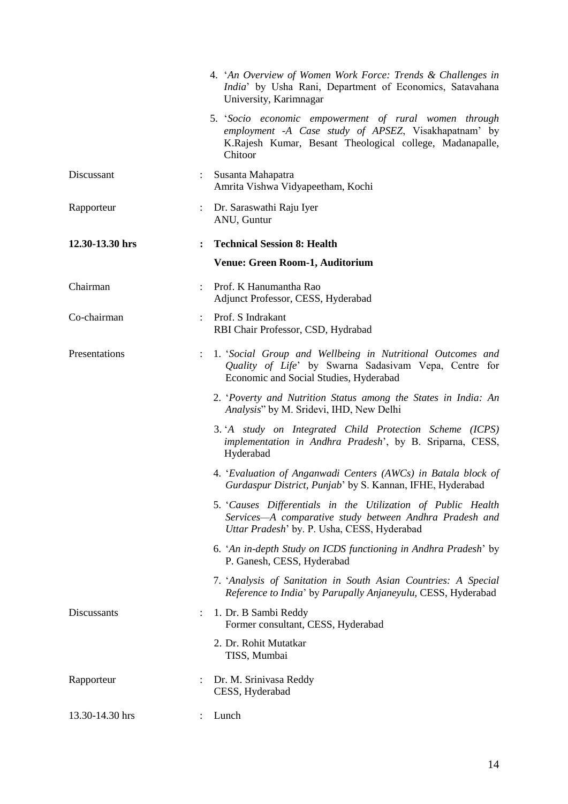|                 |              | 4. 'An Overview of Women Work Force: Trends & Challenges in<br>India' by Usha Rani, Department of Economics, Satavahana<br>University, Karimnagar                                   |
|-----------------|--------------|-------------------------------------------------------------------------------------------------------------------------------------------------------------------------------------|
|                 |              | 5. Socio economic empowerment of rural women through<br>employment -A Case study of APSEZ, Visakhapatnam' by<br>K.Rajesh Kumar, Besant Theological college, Madanapalle,<br>Chitoor |
| Discussant      |              | : Susanta Mahapatra<br>Amrita Vishwa Vidyapeetham, Kochi                                                                                                                            |
| Rapporteur      |              | : Dr. Saraswathi Raju Iyer<br>ANU, Guntur                                                                                                                                           |
| 12.30-13.30 hrs | $\mathbf{r}$ | <b>Technical Session 8: Health</b>                                                                                                                                                  |
|                 |              | <b>Venue: Green Room-1, Auditorium</b>                                                                                                                                              |
| Chairman        |              | Prof. K Hanumantha Rao<br>Adjunct Professor, CESS, Hyderabad                                                                                                                        |
| Co-chairman     |              | : Prof. S Indrakant<br>RBI Chair Professor, CSD, Hydrabad                                                                                                                           |
| Presentations   |              | 1. 'Social Group and Wellbeing in Nutritional Outcomes and<br>Quality of Life' by Swarna Sadasivam Vepa, Centre for<br>Economic and Social Studies, Hyderabad                       |
|                 |              | 2. 'Poverty and Nutrition Status among the States in India: An<br>Analysis" by M. Sridevi, IHD, New Delhi                                                                           |
|                 |              | 3. 'A study on Integrated Child Protection Scheme (ICPS)<br>implementation in Andhra Pradesh', by B. Sriparna, CESS,<br>Hyderabad                                                   |
|                 |              | 4. 'Evaluation of Anganwadi Centers (AWCs) in Batala block of<br>Gurdaspur District, Punjab' by S. Kannan, IFHE, Hyderabad                                                          |
|                 |              | 5. Causes Differentials in the Utilization of Public Health<br>Services-A comparative study between Andhra Pradesh and<br>Uttar Pradesh' by. P. Usha, CESS, Hyderabad               |
|                 |              | 6. 'An in-depth Study on ICDS functioning in Andhra Pradesh' by<br>P. Ganesh, CESS, Hyderabad                                                                                       |
|                 |              | 7. 'Analysis of Sanitation in South Asian Countries: A Special<br>Reference to India' by Parupally Anjaneyulu, CESS, Hyderabad                                                      |
| Discussants     |              | 1. Dr. B Sambi Reddy<br>Former consultant, CESS, Hyderabad                                                                                                                          |
|                 |              | 2. Dr. Rohit Mutatkar<br>TISS, Mumbai                                                                                                                                               |
| Rapporteur      |              | Dr. M. Srinivasa Reddy<br>CESS, Hyderabad                                                                                                                                           |
| 13.30-14.30 hrs |              | Lunch                                                                                                                                                                               |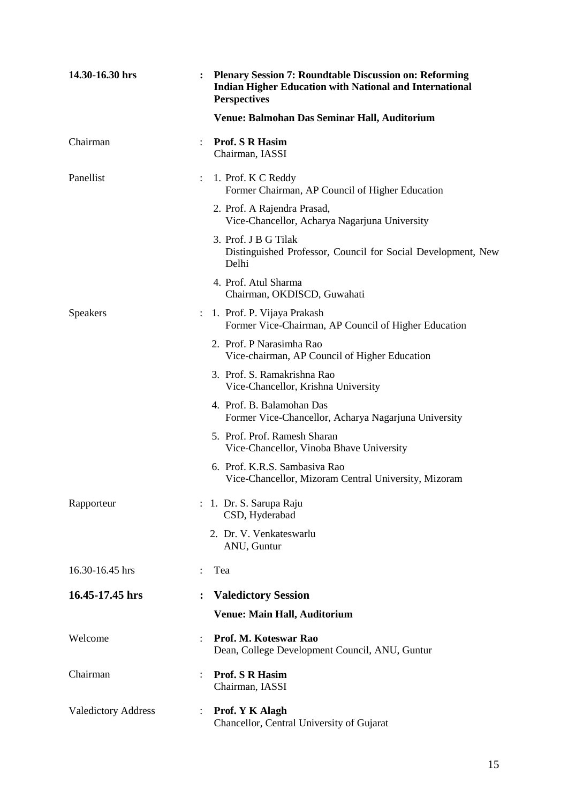| 14.30-16.30 hrs            |                | <b>Plenary Session 7: Roundtable Discussion on: Reforming</b><br><b>Indian Higher Education with National and International</b><br><b>Perspectives</b> |
|----------------------------|----------------|--------------------------------------------------------------------------------------------------------------------------------------------------------|
|                            |                | Venue: Balmohan Das Seminar Hall, Auditorium                                                                                                           |
| Chairman                   |                | <b>Prof. S R Hasim</b><br>Chairman, IASSI                                                                                                              |
| Panellist                  |                | 1. Prof. K C Reddy<br>Former Chairman, AP Council of Higher Education                                                                                  |
|                            |                | 2. Prof. A Rajendra Prasad,<br>Vice-Chancellor, Acharya Nagarjuna University                                                                           |
|                            |                | 3. Prof. J B G Tilak<br>Distinguished Professor, Council for Social Development, New<br>Delhi                                                          |
|                            |                | 4. Prof. Atul Sharma<br>Chairman, OKDISCD, Guwahati                                                                                                    |
| <b>Speakers</b>            |                | : 1. Prof. P. Vijaya Prakash<br>Former Vice-Chairman, AP Council of Higher Education                                                                   |
|                            |                | 2. Prof. P Narasimha Rao<br>Vice-chairman, AP Council of Higher Education                                                                              |
|                            |                | 3. Prof. S. Ramakrishna Rao<br>Vice-Chancellor, Krishna University                                                                                     |
|                            |                | 4. Prof. B. Balamohan Das<br>Former Vice-Chancellor, Acharya Nagarjuna University                                                                      |
|                            |                | 5. Prof. Prof. Ramesh Sharan<br>Vice-Chancellor, Vinoba Bhave University                                                                               |
|                            |                | 6. Prof. K.R.S. Sambasiva Rao<br>Vice-Chancellor, Mizoram Central University, Mizoram                                                                  |
| Rapporteur                 |                | : 1. Dr. S. Sarupa Raju<br>CSD, Hyderabad                                                                                                              |
|                            |                | 2. Dr. V. Venkateswarlu<br>ANU, Guntur                                                                                                                 |
| 16.30-16.45 hrs            |                | Tea                                                                                                                                                    |
| 16.45-17.45 hrs            | $\ddot{\cdot}$ | <b>Valedictory Session</b>                                                                                                                             |
|                            |                | <b>Venue: Main Hall, Auditorium</b>                                                                                                                    |
| Welcome                    | $\ddot{\cdot}$ | Prof. M. Koteswar Rao<br>Dean, College Development Council, ANU, Guntur                                                                                |
| Chairman                   | $\ddot{\cdot}$ | <b>Prof. S R Hasim</b><br>Chairman, IASSI                                                                                                              |
| <b>Valedictory Address</b> |                | Prof. Y K Alagh<br>Chancellor, Central University of Gujarat                                                                                           |